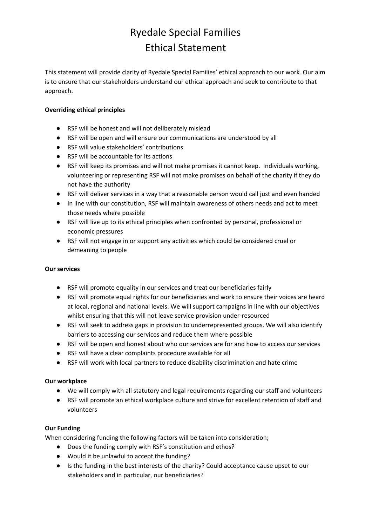# Ryedale Special Families Ethical Statement

This statement will provide clarity of Ryedale Special Families' ethical approach to our work. Our aim is to ensure that our stakeholders understand our ethical approach and seek to contribute to that approach.

### **Overriding ethical principles**

- RSF will be honest and will not deliberately mislead
- RSF will be open and will ensure our communications are understood by all
- RSF will value stakeholders' contributions
- RSF will be accountable for its actions
- RSF will keep its promises and will not make promises it cannot keep. Individuals working, volunteering or representing RSF will not make promises on behalf of the charity if they do not have the authority
- RSF will deliver services in a way that a reasonable person would call just and even handed
- In line with our constitution, RSF will maintain awareness of others needs and act to meet those needs where possible
- RSF will live up to its ethical principles when confronted by personal, professional or economic pressures
- RSF will not engage in or support any activities which could be considered cruel or demeaning to people

#### **Our services**

- RSF will promote equality in our services and treat our beneficiaries fairly
- RSF will promote equal rights for our beneficiaries and work to ensure their voices are heard at local, regional and national levels. We will support campaigns in line with our objectives whilst ensuring that this will not leave service provision under-resourced
- RSF will seek to address gaps in provision to underrepresented groups. We will also identify barriers to accessing our services and reduce them where possible
- RSF will be open and honest about who our services are for and how to access our services
- RSF will have a clear complaints procedure available for all
- RSF will work with local partners to reduce disability discrimination and hate crime

#### **Our workplace**

- We will comply with all statutory and legal requirements regarding our staff and volunteers
- RSF will promote an ethical workplace culture and strive for excellent retention of staff and volunteers

#### **Our Funding**

When considering funding the following factors will be taken into consideration;

- Does the funding comply with RSF's constitution and ethos?
- Would it be unlawful to accept the funding?
- Is the funding in the best interests of the charity? Could acceptance cause upset to our stakeholders and in particular, our beneficiaries?